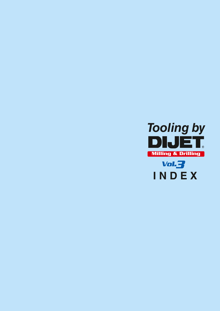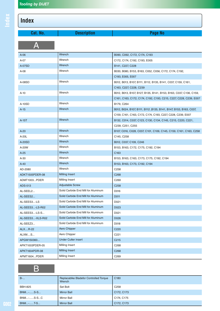# **Index**

| Cat. No.         | <b>Description</b>                  | Page No                                                           |
|------------------|-------------------------------------|-------------------------------------------------------------------|
|                  |                                     |                                                                   |
| $A-06$           | Wrench                              | B090, C092, C172, C174, C193                                      |
| A-07             | Wrench                              | C172, C174, C192, C193, E005                                      |
| A-07SD           | Wrench                              | B141, C227, C228                                                  |
| $A-08$           | Wrench                              | B030, B080, B153, B163, C052, C056, C172, C174, C192,             |
|                  |                                     | C193, E005, E007                                                  |
| A-08SD           | Wrench                              | B012, B013, B107, B111, B112, B135, B141, C037, C159, C161,       |
|                  |                                     | C163, C227, C228, C239                                            |
| A-10             | Wrench                              | B012, B013, B107, B127, B135, B141, B153, B163, C037, C136, C159, |
|                  |                                     | C161, C163, C172, C174, C192, C193, C215, C227, C228, C239, E007  |
| A-10SD           | Wrench                              | B179, C264                                                        |
| $A-15$           | Wrench                              | B012, B024, B107, B111, B112, B135, B141, B147, B153, B163, C037, |
|                  |                                     | C159, C161, C163, C172, C174, C193, C227, C228, C239, E007        |
| A-15T            | Wrench                              | B132, C014, C037, C123, C130, C134, C145, C215, C220, C221,       |
|                  |                                     | C239, C251, C255                                                  |
| $A-20$           | Wrench                              | B107, C016, C028, C037, C101, C109, C145, C159, C161, C163, C258  |
| A-20L            | Wrench                              | C145, C258                                                        |
| A-20SD           | Wrench                              | B012, C037, C109, C246                                            |
| A-20W            | Wrench                              | B153, B163, C172, C175, C192, C194                                |
| $A-25$           | <b>Wrench</b>                       | C <sub>163</sub>                                                  |
| $A-30$           | Wrench                              | B153, B163, C163, C173, C175, C192, C194                          |
| $A-40$           | Wrench                              | B153, B163, C173, C192, C194                                      |
| AD-2080          | Wrench                              | C258                                                              |
| ADKT1505PDER-08  | <b>Milling Insert</b>               | C <sub>268</sub>                                                  |
| ADMT1003PDER     | Milling Insert                      | C <sub>269</sub>                                                  |
| ADS-513          | <b>Adjustable Screw</b>             | C258                                                              |
| AL-SEEL2         | Solid Carbide End Mill for Aluminum | D016                                                              |
| AL-SEES2         | Solid Carbide End Mill for Aluminum | D011                                                              |
| AL-SEES3-LS      | Solid Carbide End Mill for Aluminum | D021                                                              |
| AL-SEES3-LS-R02  | Solid Carbide End Mill for Aluminum | D023                                                              |
| AL-SEES3-LS-S    | Solid Carbide End Mill for Aluminum | D021                                                              |
| AL-SEES3-XLS-R02 | Solid Carbide End Mill for Aluminum | D026                                                              |
| AL-SEEZ3         | Solid Carbide End Mill for Aluminum | D018                                                              |
| ALXR-22          | Aero Chipper                        | C220                                                              |
| ALXMS            | Aero Chipper                        | C221                                                              |
| APGW150360       | <b>Under Cutter insert</b>          | C <sub>2</sub> 15                                                 |
| APKT1003PDER-05  | Milling Insert                      | C <sub>268</sub>                                                  |
| APKT1604PDR-08   | <b>Milling Insert</b>               | C <sub>268</sub>                                                  |
| APMT1604PDER     | Milling Insert                      | C <sub>269</sub>                                                  |

## B

| $B$ -          | Replacablke Bladefor Controlled Torque<br>Wrench | C <sub>180</sub> |
|----------------|--------------------------------------------------|------------------|
| <b>BBH-825</b> | Set Bolt                                         | C <sub>258</sub> |
| <b>BNM-S-S</b> | <b>Mirror Ball</b>                               | C172, C173       |
| BNM-S-SC       | Mirror Ball                                      | C174, C175       |
| <b>BNM-T-S</b> | <b>Mirror Ball</b>                               | C172, C173       |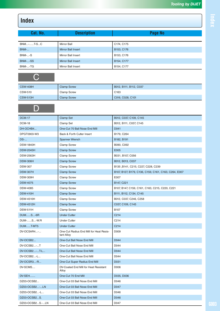| Cat. No.        | <b>Description</b>        | Page No    |
|-----------------|---------------------------|------------|
|                 |                           |            |
| <b>BNM-T-SC</b> | Mirror Ball               | C174, C175 |
| <b>BNM-</b>     | <b>Mirror Ball Insert</b> | B153, C176 |
| <b>BNM--S</b>   | Mirror Ball Insert        | B153, C176 |
| <b>BNM--SS</b>  | <b>Mirror Ball Insert</b> | B154, C177 |
| BNM--TG         | Mirror Ball Insert        | B154, C177 |

#### $\bigcap$

| <b>CSW-408H</b> | <b>Clamp Screw</b> | B012, B111, B112, C037 |
|-----------------|--------------------|------------------------|
| <b>CSW-510</b>  | <b>Clamp Screw</b> | C <sub>163</sub>       |
| <b>CSW-513H</b> | <b>Clamp Screw</b> | C016, C028, C101       |

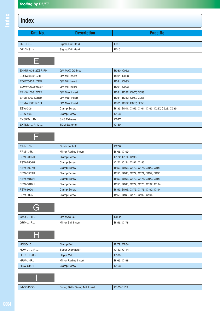| Cat. No.           | <b>Description</b>    | Page No    |
|--------------------|-----------------------|------------|
|                    |                       |            |
| DZ-DHS             | Sigma Drill Hard      | E010       |
| DZ-DHS-            | Sigma Drill Hard      | E010       |
|                    |                       |            |
|                    |                       |            |
| ENMU100412ZER-PH   | QM MAX G2 Insert      | B080, C052 |
| EOHW0602ZTR        | <b>QM Mill insert</b> | B091, C093 |
| <b>EOMT0602ZER</b> | <b>QM Mill insert</b> | B091, C093 |
|                    |                       |            |

| EOMW060210ZER   | <b>QM Mill insert</b> | B091, C093                                     |
|-----------------|-----------------------|------------------------------------------------|
| EPHW100316ZTR   | <b>QM Max Insert</b>  | B031, B032, C057, C058                         |
| EPMT100312ZER   | OM Max Insert         | B031, B032, C057, C058                         |
| EPMW100312Z.R   | <b>QM Max Insert</b>  | B031, B032, C057, C058                         |
| <b>ESW-206</b>  | <b>Clamp Screw</b>    | B135, B141, C159, C161, C163, C227, C228, C239 |
| <b>ESW-406</b>  | <b>Clamp Screw</b>    | C <sub>163</sub>                               |
| $EXSKS$ - $R$ - | <b>SKS Extreme</b>    | C <sub>027</sub>                               |
| EXTDM-R-12-     | <b>TDM Extreme</b>    | C <sub>130</sub>                               |

|--|

| $FJM$ - $R$ -    | Finish Jet Mill      | C <sub>256</sub>                   |
|------------------|----------------------|------------------------------------|
| $FRM$ -- $R$     | Mirror Radius Insert | B166, C199                         |
| <b>FSW-2005H</b> | <b>Clamp Screw</b>   | C172, C174, C193                   |
| <b>FSW-2506H</b> | <b>Clamp Screw</b>   | C172, C174, C192, C193             |
| <b>FSW-3007H</b> | <b>Clamp Screw</b>   | B153, B163, C172, C174, C192, C193 |
| <b>FSW-3509H</b> | <b>Clamp Screw</b>   | B153, B163, C172, C174, C192, C193 |
| <b>FSW-4013H</b> | <b>Clamp Screw</b>   | B153, B163, C172, C174, C192, C193 |
| FSW-5016H        | <b>Clamp Screw</b>   | B153, B163, C172, C175, C192, C194 |
| <b>FSW-6020</b>  | <b>Clamp Screw</b>   | B153, B163, C173, C175, C192, C194 |
| FSW-8025         | <b>Clamp Screw</b>   | B153, B163, C173, C192, C194       |

| -       |                    |            |
|---------|--------------------|------------|
| GMX--R- | QM MAX G2          | C052       |
| GRM--R  | Mirror Ball Insert | B156, C178 |

| <b>HCS5-10</b>  | Clamp Bolt                     | B179, C264       |
|-----------------|--------------------------------|------------------|
| HDM--R-         | Super Diemaster                | C143, C144       |
| HEP-R-08-       | <b>Hepta Mill</b>              | C <sub>108</sub> |
| <b>HRM--R</b>   | <b>Mirror Radius Insert</b>    | B165, C198       |
| <b>HSW-614H</b> | <b>Clamp Screw</b>             | C <sub>163</sub> |
|                 |                                |                  |
| IM-SP43GS       | Swing Ball / Swing Mill Insert | C163, C165       |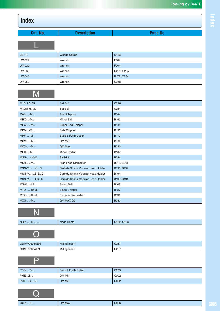| Cat. No. | <b>Description</b> | Page No          |
|----------|--------------------|------------------|
|          |                    |                  |
| LS-110   | <b>Wedge Screw</b> | C <sub>123</sub> |
| LW-015   | Wrench             | F004             |
| LW-020   | Wrench             | F004             |
| LW-035   | Wrench             | C251, C255       |
| LW-040   | Wrench             | B178, C264       |
| LW-050   | Wrench             | C258             |

# M

**OP** 

| M10×1.5×55        | Set Bolt                          | C246             |
|-------------------|-----------------------------------|------------------|
| M12×1.75×30       | Set Bolt                          | C264             |
| <b>MAL--M</b>     | Aero Chipper                      | <b>B147</b>      |
| $MBX$ -- $M$      | Mirror Ball                       | B <sub>152</sub> |
| <b>MEC--M</b>     | Super End Chipper                 | <b>B141</b>      |
| $MIC$ -- $M$      | Side Chipper                      | B135             |
| <b>MPF--M</b>     | <b>Back &amp; Forth Cutter</b>    | <b>B179</b>      |
| <b>MPM--M</b>     | <b>OM Mill</b>                    | B090             |
| <b>MQX--M</b>     | QM Max                            | <b>B030</b>      |
| $MRX$ -- $M$      | <b>Mirror Radius</b>              | B162             |
| $MSG$ --10-M      | SKSG <sub>2</sub>                 | B024             |
| <b>MSH--M</b>     | <b>High Feed Diemaster</b>        | B012, B013       |
| <b>MSN-M--SC</b>  | Carbide Shank Modular Head Holder | B193, B194       |
| MSN-M-S-SC        | Carbide Shank Modular Head Holder | B194             |
| <b>MSN-M-T-SC</b> | Carbide Shank Modular Head Holder | B193, B194       |
| <b>MSW--M</b>     | Swing Ball                        | B <sub>107</sub> |
| MTD--10-M         | <b>Blade Chipper</b>              | <b>B127</b>      |
| MTX--12-M         | <b>Extreme Diemaster</b>          | B131             |
| MXG--M            | QM MAX G2                         | <b>B080</b>      |

| NHP-R-- | Nega Hepta | C122, C123 |
|---------|------------|------------|

| ODMW0606AEN | <b>Milling Insert</b> | C <sub>267</sub> |
|-------------|-----------------------|------------------|
| ODMT0606AEN | Milling Insert        | C <sub>267</sub> |

| <b>PFC-R-</b> | Back & Forth Cutter | C <sub>263</sub> |
|---------------|---------------------|------------------|
| <b>PMES</b>   | OM Mill             | C092             |
| PMES-LS       | <b>OM Mill</b>      | C092             |

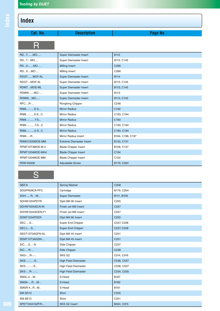| Cat. No.         | <b>Description</b>              | Page No          |
|------------------|---------------------------------|------------------|
| R                |                                 |                  |
| <b>RDTMO</b>     | <b>Super Diemaster Insert</b>   | <b>B112</b>      |
| RDTMO            | Super Diemaster Insert          | B113, C145       |
| RDXMO            | <b>Milling Insert</b>           | C266             |
| RDXMO            | Milling Insert                  | C <sub>266</sub> |
| RDGTMOF-AL       | Super Diemaster Insert          | <b>B114</b>      |
| RDGTMOF-AL       | Super Diemaster Insert          | B113, C145       |
| RDMTMOE-ML       | <b>Super Diemaster Insert</b>   | B113, C145       |
| RDMWMO           | Super Diemaster Insert          | <b>B113</b>      |
| RDMWMO           | <b>Super Diemaster Insert</b>   | B113, C145       |
| <b>RFCR-</b>     | Ronghing Chipper                | C246             |
| RNM-S-S          | <b>Mirror Radius</b>            | C192             |
| <b>RNM-S-SC</b>  | Mirror Radius                   | C193, C194       |
| RNM-T-S          | <b>Mirror Radius</b>            | C <sub>193</sub> |
| <b>RNM-T-SC</b>  | Mirror Radius                   | C193, C194       |
| RNM-U-SC         | <b>Mirror Radius</b>            | C193, C194       |
| <b>RNM--R</b>    | Mirror Radius Insert            | B164, C196, C197 |
| RNMU1205MOE-MM   | <b>Extreme Diemaster Insert</b> | B133, C131       |
| RPMT10T3MOE-M.4  | <b>Blade Chipper Insert</b>     | B128, C137       |
| RPMT1204MOE-MH4  | <b>Blade Chipper Insert</b>     | C134             |
| RPMT1204MOE-MM.  | <b>Blade Chipper Insert</b>     | C134             |
| <b>RSW-05008</b> | <b>Adjustable Screw</b>         | B179, C264       |

# S

| SBZ-8           | Spring Washer              | C <sub>258</sub> |
|-----------------|----------------------------|------------------|
| SDGPR09CA-PFC   | Cartridge                  | B179, C264       |
| SDH--R-M        | Super Diemaster            | B111, B109       |
| SDHW1204PDTR    | Dijet Mill 90 Insert       | C255             |
| SDHW1504AD.N-W. | Finish Jet Mill Insert     | C <sub>257</sub> |
| SDHW1504ADEN-F1 | Finish Jet Mill Insert     | C257             |
| SDMT1204PDER    | Dijet Mill 90 Insert       | C255             |
| <b>SECS</b>     | Super End Chipper          | C227, C228       |
| SEC.LS          | Super End Chipper          | C227, C228       |
| SEGT13T3AGFN-AL | Dijet Mill 45 Insert       | C <sub>251</sub> |
| SEMT13T3AGSN-   | Dijet Mill 45 Insert       | C <sub>251</sub> |
| SICSN           | Side Chipper               | C237             |
| <b>SIC-R-</b>   | Side Chipper               | C238             |
| SKG-R--         | SKS G <sub>2</sub>         | C014, C016       |
| SKS---S         | <b>High Feed Diemaster</b> | C036, C037       |
| SKS---S         | <b>High Feed Diemaster</b> | C036, C037       |
| SKS-R--         | <b>High Feed Diemaster</b> | C034, C035       |
| SMAL-3-M        | S-Head                     | <b>B187</b>      |
| SMSA-R-M        | S-Head                     | <b>B182</b>      |
| SMSR-4R-M       | S-Head                     | B191             |
| SM-SD12         | <b>Shim</b>                | C <sub>255</sub> |
| SM-SE13         | Shim                       | C <sub>251</sub> |
| SPET100415ZP.R- | SKS G2 Insert              | B024, C015       |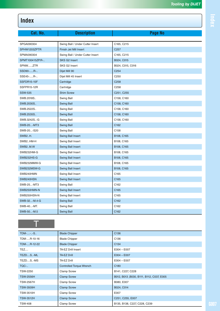| Cat. No.        | <b>Description</b>               | Page No          |
|-----------------|----------------------------------|------------------|
|                 |                                  |                  |
| SPGA090304      | Swing Ball / Under Cutter Insert | C165, C215       |
| SPHW1203ZPTR    | Finish Jet Mill Insert           | C <sub>257</sub> |
| SPMA090304      | Swing Ball / Under Cutter Insert | C165, C215       |
| SPMT100415ZP.R- | SKS G2 Insert                    | B024, C015       |
| SPNWZTR         | SKS G2 Insert                    | B024, C015, C016 |
| SSD90-R-        | Dijet Mill 90                    | C254             |
| SSE45-R-        | Dijet Mill 45 Insert             | C <sub>250</sub> |
| SSFDR15-15F     | Cartridge                        | C <sub>258</sub> |
| SSFPR15-12R     | Cartridge                        | C258             |
| <b>SSW-535</b>  | <b>Shim Screw</b>                | C251, C255       |
| SWB.2018S       | Swing Ball                       | C158, C160       |
| SWB.2030S       | <b>Swing Ball</b>                | C158, C160       |
| SWB.2522S       | Swing Ball                       | C158, C160       |
| SWB.2535S       | <b>Swing Ball</b>                | C158, C160       |
| SWB.3242S-G     | Swing Ball                       | C158, C160       |
| SWB-20-MT3      | <b>Swing Ball</b>                | C162             |
| SWB-20-S20      | Swing Ball                       | C158             |
| <b>SWB2H.</b>   | <b>Swing Ball Insert</b>         | B108, C165       |
| SWB2HM-H        | Swing Ball Insert                | B108, C165       |
| SWB2M.W         | <b>Swing Ball Insert</b>         | B108, C165       |
| SWB232HM-G      | Swing Ball Insert                | B108, C165       |
| SWB232HS-G      | <b>Swing Ball Insert</b>         | B108, C165       |
| SWB232MMW-G     | Swing Ball Insert                | B108, C165       |
| SWB232MSW-G     | <b>Swing Ball Insert</b>         | B108, C165       |
| SWB240HMN       | Swing Ball Insert                | C165             |
| SWB240HSN       | <b>Swing Ball Insert</b>         | C165             |
| SWB-25-MT3      | Swing Ball                       | C162             |
| SWB250HMN-N     | <b>Swing Ball Insert</b>         | C165             |
| SWB250HSN-N     | Swing Ball Insert                | C165             |
| SWB-32-M.4-G    | <b>Swing Ball</b>                | C162             |
| SWB-40-MT.      | Swing Ball                       | C162             |
| SWB-50-M.5      | <b>Swing Ball</b>                | C162             |

#### $\top$

| <b>TDM---S</b>   | <b>Blade Chipper</b>            | C <sub>136</sub>                         |
|------------------|---------------------------------|------------------------------------------|
| TDM-R-10-16      | <b>Blade Chipper</b>            | C <sub>136</sub>                         |
| TDM-R-12-22      | <b>Blade Chipper</b>            | C <sub>134</sub>                         |
| TEZ              | TA-EZ Drill Insert              | $E004 - E007$                            |
| TEZDS-ML         | <b>TA-EZ Drill</b>              | $E004 - E007$                            |
| TEZDS-MS         | TA-EZ Drill                     | $E004 - E007$                            |
| TQC-             | <b>Controlled Torque Wrench</b> | C <sub>180</sub>                         |
| TSW-2250         | Clamp Screw                     | B141, C227, C228                         |
| <b>TSW-2556H</b> | <b>Clamp Screw</b>              | B012, B013, B030, B111, B112, C037, E005 |
| <b>TSW-2567H</b> | Clamp Screw                     | B080, E007                               |
| <b>TSW-3509H</b> | <b>Clamp Screw</b>              | B024, C014                               |
| <b>TSW-3510H</b> | <b>Clamp Screw</b>              | E007                                     |
| <b>TSW-3512H</b> | <b>Clamp Screw</b>              | C251, C255, E007                         |
| TSW-408          | <b>Clamp Screw</b>              | B135, B138, C227, C228, C239             |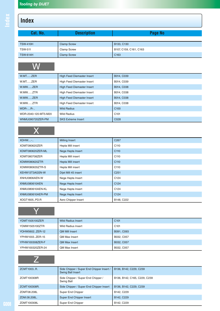| Cat. No.             | <b>Description</b>                | Page No                |
|----------------------|-----------------------------------|------------------------|
|                      |                                   |                        |
| <b>TSW-410H</b>      | <b>Clamp Screw</b>                | B133, C130             |
| <b>TSW-511</b>       | Clamp Screw                       | B107, C159, C161, C163 |
| <b>TSW-614H</b>      | <b>Clamp Screw</b>                | C <sub>163</sub>       |
|                      |                                   |                        |
| W.MTZER              | <b>High Feed Diemaster Insert</b> | B014, C039             |
| W.MTZER              | High Feed Diemaster Insert        | B014, C039             |
| W.MWZER              | <b>High Feed Diemaster Insert</b> | B014, C038             |
| W.MWZTR              | High Feed Diemaster Insert        | B014, C038             |
| W.MWZER              | <b>High Feed Diemaster Insert</b> | B014, C038             |
| W.MWZTR              | High Feed Diemaster Insert        | B014, C038             |
| <b>WDR-R-</b>        | <b>Wild Radius</b>                | C <sub>100</sub>       |
| WDR-2040-120-MT5-M20 | <b>Wild Radius</b>                | C <sub>101</sub>       |
| WNMU090720ZER-PM     | <b>SKS Extreme Insert</b>         | C028                   |
|                      |                                   |                        |
| <b>XDHW-</b>         | <b>Milling Insert</b>             | C <sub>267</sub>       |
| XDMT080620ZER        | Hepta Mill insert                 | C110                   |

| XDMT080620ZER        | Hepta Mill insert        | C110             |
|----------------------|--------------------------|------------------|
| XDMT080620ZER-ML     | Nega Hepta Insert        | C <sub>110</sub> |
| XDMT080708ZER        | Hepta Mill insert        | C110             |
| XDMW080620ZTR        | <b>Hepta Mill insert</b> | C <sub>110</sub> |
| XDMW080635ZTR-S      | Hepta Mill insert        | C <sub>110</sub> |
| XEHW13T3AGSN-W       | Dijet Mill 45 insert     | C <sub>251</sub> |
| XNHU0806AEN-W        | Nega Hepta Insert        | C <sub>124</sub> |
| <b>XNMU080610AEN</b> | Nega Hepta Insert        | C <sub>124</sub> |
| XNMU080610AEN-KL     | Nega Hepta Insert        | C <sub>124</sub> |
| XNMU080610AER-PM     | Nega Hepta Insert        | C <sub>124</sub> |
| XOGT1605PD.R         | Aero Chipper Insert      | B148, C222       |

#### **V**

| YDMT1505100ZER   | <b>Wild Radius Insert</b> | C <sub>101</sub> |
|------------------|---------------------------|------------------|
| YDMW1505100ZTR   | <b>Wild Radius Insert</b> | C <sub>101</sub> |
| YOHW0602ZER-12   | <b>QM Mill Insert</b>     | B091, C093       |
| YPHW1003ZER-15   | <b>OM Max Insert</b>      | B032, C057       |
| YPHW100308ZER-F  | <b>QM Max Insert</b>      | B032, C057       |
| YPHW100320ZER-24 | <b>OM Max Insert</b>      | B032, C057       |

| ZCMT1003R.   | Side Chipper / Super End Chipper Insert /<br><b>Swing Ball Insert</b> | B136, B142, C229, C239       |
|--------------|-----------------------------------------------------------------------|------------------------------|
| ZCMT100308R  | Side Chipper / Super End Chipper /<br>Swing Ball                      | B136, B142, C165, C229, C239 |
| ZCMT100308R. | Side Chipper / Super End Chipper Insert                               | B136, B142, C229, C239       |
| ZDMT08.208L  | Super End Chipper                                                     | B142, C229                   |
| ZDM.08.208L. | Super End Chipper Insert                                              | B142, C229                   |
| ZDMT100308L  | Super End Chipper                                                     | B142, C229                   |